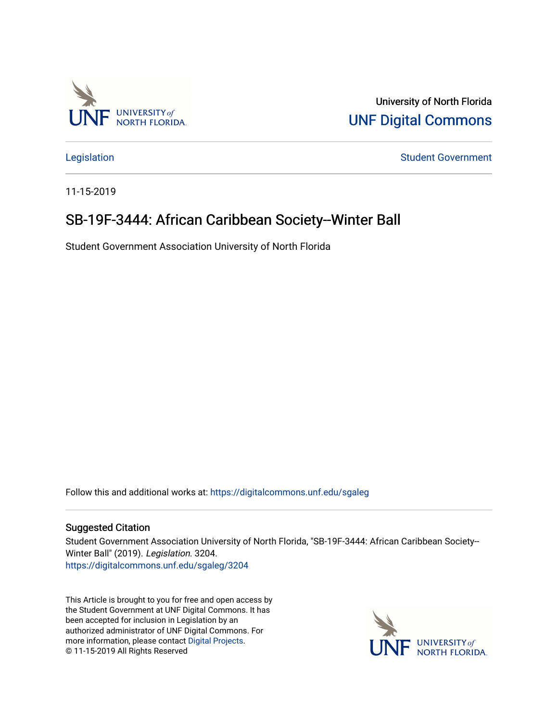

University of North Florida [UNF Digital Commons](https://digitalcommons.unf.edu/) 

[Legislation](https://digitalcommons.unf.edu/sgaleg) **Student Government** 

11-15-2019

## SB-19F-3444: African Caribbean Society-Winter Ball

Student Government Association University of North Florida

Follow this and additional works at: [https://digitalcommons.unf.edu/sgaleg](https://digitalcommons.unf.edu/sgaleg?utm_source=digitalcommons.unf.edu%2Fsgaleg%2F3204&utm_medium=PDF&utm_campaign=PDFCoverPages)

## Suggested Citation

Student Government Association University of North Florida, "SB-19F-3444: African Caribbean Society-- Winter Ball" (2019). Legislation. 3204. [https://digitalcommons.unf.edu/sgaleg/3204](https://digitalcommons.unf.edu/sgaleg/3204?utm_source=digitalcommons.unf.edu%2Fsgaleg%2F3204&utm_medium=PDF&utm_campaign=PDFCoverPages) 

This Article is brought to you for free and open access by the Student Government at UNF Digital Commons. It has been accepted for inclusion in Legislation by an authorized administrator of UNF Digital Commons. For more information, please contact [Digital Projects](mailto:lib-digital@unf.edu). © 11-15-2019 All Rights Reserved